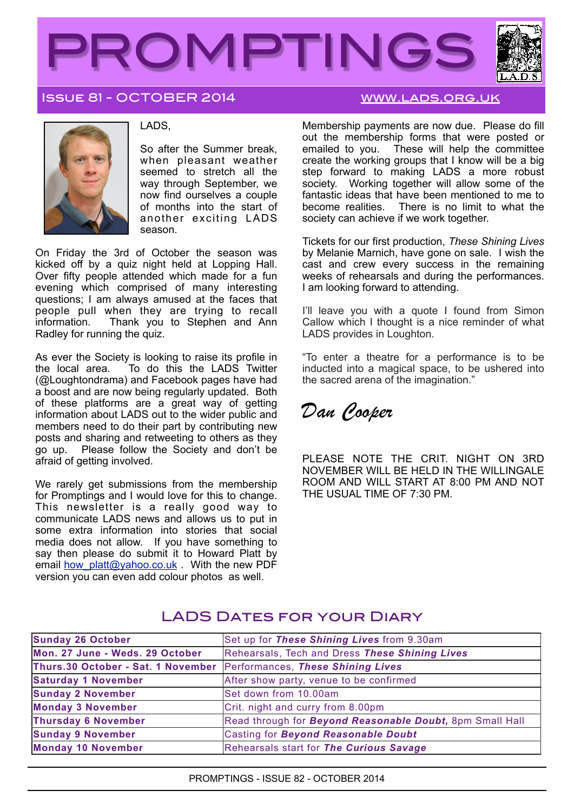

## Issue 81 - OCTOBER 2014 [www.lads.org.uk](http://www.lads.org.uk)



#### LADS,

So after the Summer break, when pleasant weather seemed to stretch all the way through September, we now find ourselves a couple of months into the start of another exciting LADS season.

On Friday the 3rd of October the season was kicked off by a quiz night held at Lopping Hall. Over fifty people attended which made for a fun evening which comprised of many interesting questions; I am always amused at the faces that people pull when they are trying to recall<br>information. Thank you to Stephen and Ann Thank you to Stephen and Ann Radley for running the quiz.

As ever the Society is looking to raise its profile in the local area. To do this the LADS Twitter (@Loughtondrama) and Facebook pages have had a boost and are now being regularly updated. Both of these platforms are a great way of getting information about LADS out to the wider public and members need to do their part by contributing new posts and sharing and retweeting to others as they go up. Please follow the Society and don't be Please follow the Society and don't be afraid of getting involved.

We rarely get submissions from the membership for Promptings and I would love for this to change. This newsletter is a really good way to communicate LADS news and allows us to put in some extra information into stories that social media does not allow. If you have something to say then please do submit it to Howard Platt by email how platt@yahoo.co.uk . With the new PDF version you can even add colour photos as well.

Membership payments are now due. Please do fill out the membership forms that were posted or emailed to you. These will help the committee create the working groups that I know will be a big step forward to making LADS a more robust society. Working together will allow some of the fantastic ideas that have been mentioned to me to become realities. There is no limit to what the society can achieve if we work together.

Tickets for our first production, *These Shining Lives* by Melanie Marnich, have gone on sale. I wish the cast and crew every success in the remaining weeks of rehearsals and during the performances. I am looking forward to attending.

I'll leave you with a quote I found from Simon Callow which I thought is a nice reminder of what LADS provides in Loughton.

"To enter a theatre for a performance is to be inducted into a magical space, to be ushered into the sacred arena of the imagination."

*Dan Cooper*

PLEASE NOTE THE CRIT. NIGHT ON 3RD NOVEMBER WILL BE HELD IN THE WILLINGALE ROOM AND WILL START AT 8:00 PM AND NOT THE USUAL TIME OF 7:30 PM.

| Sunday 26 October                                                    | Set up for These Shining Lives from 9.30am                       |
|----------------------------------------------------------------------|------------------------------------------------------------------|
| Mon. 27 June - Weds. 29 October                                      | Rehearsals, Tech and Dress These Shining Lives                   |
| Thurs.30 October - Sat. 1 November Performances, These Shining Lives |                                                                  |
| <b>Saturday 1 November</b>                                           | After show party, venue to be confirmed                          |
| <b>Sunday 2 November</b>                                             | Set down from 10.00am                                            |
| <b>Monday 3 November</b>                                             | Crit. night and curry from 8.00pm                                |
| <b>Thursday 6 November</b>                                           | Read through for <b>Beyond Reasonable Doubt</b> , 8pm Small Hall |
| <b>Sunday 9 November</b>                                             | Casting for Beyond Reasonable Doubt                              |
| <b>Monday 10 November</b>                                            | Rehearsals start for The Curious Savage                          |

# LADS DATES FOR YOUR DIARY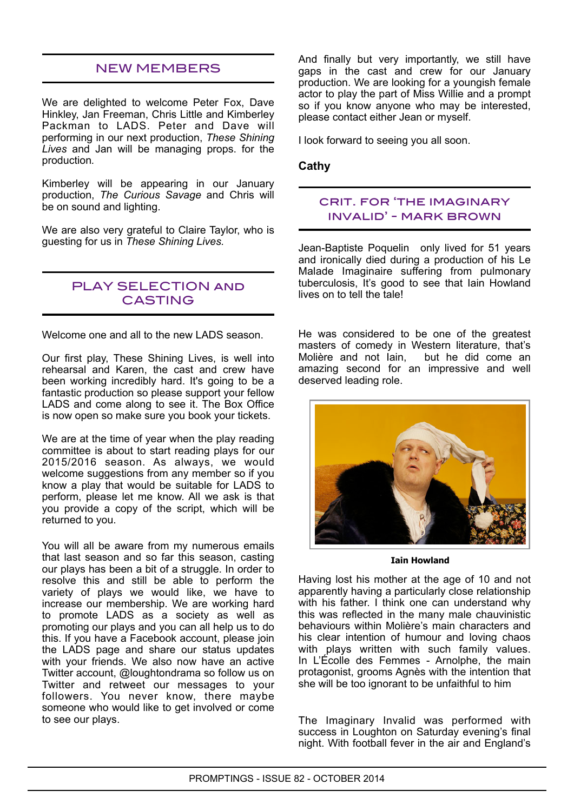## NEW MEMBERS

We are delighted to welcome Peter Fox, Dave Hinkley, Jan Freeman, Chris Little and Kimberley Packman to LADS. Peter and Dave will performing in our next production, *These Shining Lives* and Jan will be managing props. for the production*.*

Kimberley will be appearing in our January production, *The Curious Savage* and Chris will be on sound and lighting.

We are also very grateful to Claire Taylor, who is guesting for us in *These Shining Lives.*

## PLAY SELECTION and CASTING

Welcome one and all to the new LADS season.

Our first play, These Shining Lives, is well into rehearsal and Karen, the cast and crew have been working incredibly hard. It's going to be a fantastic production so please support your fellow LADS and come along to see it. The Box Office is now open so make sure you book your tickets.

We are at the time of year when the play reading committee is about to start reading plays for our 2015/2016 season. As always, we would welcome suggestions from any member so if you know a play that would be suitable for LADS to perform, please let me know. All we ask is that you provide a copy of the script, which will be returned to you.

You will all be aware from my numerous emails that last season and so far this season, casting our plays has been a bit of a struggle. In order to resolve this and still be able to perform the variety of plays we would like, we have to increase our membership. We are working hard to promote LADS as a society as well as promoting our plays and you can all help us to do this. If you have a Facebook account, please join the LADS page and share our status updates with your friends. We also now have an active Twitter account, @loughtondrama so follow us on Twitter and retweet our messages to your followers. You never know, there maybe someone who would like to get involved or come to see our plays.

And finally but very importantly, we still have gaps in the cast and crew for our January production. We are looking for a youngish female actor to play the part of Miss Willie and a prompt so if you know anyone who may be interested, please contact either Jean or myself.

I look forward to seeing you all soon.

#### **Cathy**

## crit. for 'the imaginary invalid' - mark brown

Jean-Baptiste Poquelin only lived for 51 years and ironically died during a production of his Le Malade Imaginaire suffering from pulmonary tuberculosis, It's good to see that Iain Howland lives on to tell the tale!

He was considered to be one of the greatest masters of comedy in Western literature, that's Molière and not Iain, but he did come an amazing second for an impressive and well deserved leading role.



**Iain Howland**

Having lost his mother at the age of 10 and not apparently having a particularly close relationship with his father. I think one can understand why this was reflected in the many male chauvinistic behaviours within Molière's main characters and his clear intention of humour and loving chaos with plays written with such family values. In L'Écolle des Femmes - Arnolphe, the main protagonist, grooms Agnès with the intention that she will be too ignorant to be unfaithful to him

The Imaginary Invalid was performed with success in Loughton on Saturday evening's final night. With football fever in the air and England's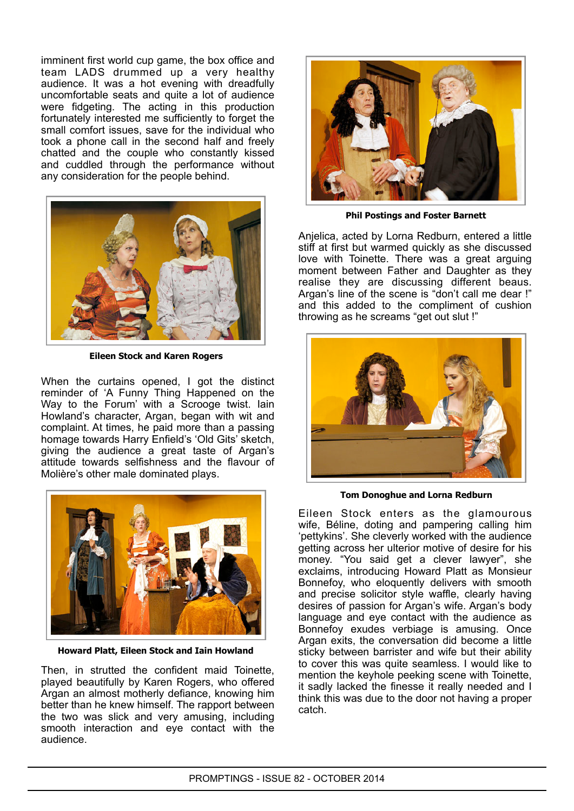imminent first world cup game, the box office and team LADS drummed up a very healthy audience. It was a hot evening with dreadfully uncomfortable seats and quite a lot of audience were fidgeting. The acting in this production fortunately interested me sufficiently to forget the small comfort issues, save for the individual who took a phone call in the second half and freely chatted and the couple who constantly kissed and cuddled through the performance without any consideration for the people behind.



**Eileen Stock and Karen Rogers**

When the curtains opened, I got the distinct reminder of 'A Funny Thing Happened on the Way to the Forum' with a Scrooge twist. Iain Howland's character, Argan, began with wit and complaint. At times, he paid more than a passing homage towards Harry Enfield's 'Old Gits' sketch, giving the audience a great taste of Argan's attitude towards selfishness and the flavour of Molière's other male dominated plays.



**Howard Platt, Eileen Stock and Iain Howland**

Then, in strutted the confident maid Toinette, played beautifully by Karen Rogers, who offered Argan an almost motherly defiance, knowing him better than he knew himself. The rapport between the two was slick and very amusing, including smooth interaction and eye contact with the audience.



**Phil Postings and Foster Barnett**

Anjelica, acted by Lorna Redburn, entered a little stiff at first but warmed quickly as she discussed love with Toinette. There was a great arguing moment between Father and Daughter as they realise they are discussing different beaus. Argan's line of the scene is "don't call me dear !" and this added to the compliment of cushion throwing as he screams "get out slut !"



**Tom Donoghue and Lorna Redburn**

Eileen Stock enters as the glamourous wife, Béline, doting and pampering calling him 'pettykins'. She cleverly worked with the audience getting across her ulterior motive of desire for his money. "You said get a clever lawyer", she exclaims, introducing Howard Platt as Monsieur Bonnefoy, who eloquently delivers with smooth and precise solicitor style waffle, clearly having desires of passion for Argan's wife. Argan's body language and eye contact with the audience as Bonnefoy exudes verbiage is amusing. Once Argan exits, the conversation did become a little sticky between barrister and wife but their ability to cover this was quite seamless. I would like to mention the keyhole peeking scene with Toinette, it sadly lacked the finesse it really needed and I think this was due to the door not having a proper catch.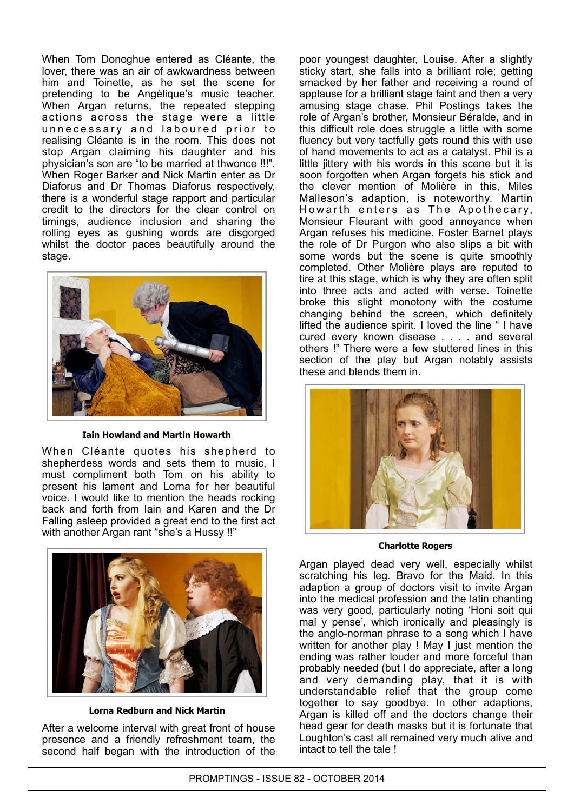When Tom Donoghue entered as Cléante, the lover, there was an air of awkwardness between him and Toinette, as he set the scene for pretending to be Angélique's music teacher. When Argan returns, the repeated stepping actions across the stage were a little unnecessary and laboured prior to realising Cléante is in the room. This does not stop Argan claiming his daughter and his physician's son are "to be married at thwonce !!!". When Roger Barker and Nick Martin enter as Dr Diaforus and Dr Thomas Diaforus respectively, there is a wonderful stage rapport and particular credit to the directors for the clear control on timings, audience inclusion and sharing the rolling eyes as gushing words are disgorged whilst the doctor paces beautifully around the stage.



**Iain Howland and Martin Howarth**

When Cléante quotes his shepherd to shepherdess words and sets them to music, I must compliment both Tom on his ability to present his lament and Lorna for her beautiful voice. I would like to mention the heads rocking back and forth from Iain and Karen and the Dr Falling asleep provided a great end to the first act with another Argan rant "she's a Hussy !!"



**Lorna Redburn and Nick Martin**

After a welcome interval with great front of house presence and a friendly refreshment team, the second half began with the introduction of the

poor youngest daughter, Louise. After a slightly sticky start, she falls into a brilliant role; getting smacked by her father and receiving a round of applause for a brilliant stage faint and then a very amusing stage chase. Phil Postings takes the role of Argan's brother, Monsieur Béralde, and in this difficult role does struggle a little with some fluency but very tactfully gets round this with use of hand movements to act as a catalyst. Phil is a little jittery with his words in this scene but it is soon forgotten when Argan forgets his stick and the clever mention of Molière in this, Miles Malleson's adaption, is noteworthy. Martin Howarth enters as The Apothecary, Monsieur Fleurant with good annoyance when Argan refuses his medicine. Foster Barnet plays the role of Dr Purgon who also slips a bit with some words but the scene is quite smoothly completed. Other Molière plays are reputed to tire at this stage, which is why they are often split into three acts and acted with verse. Toinette broke this slight monotony with the costume changing behind the screen, which definitely lifted the audience spirit. I loved the line " I have cured every known disease . . . . and several others !" There were a few stuttered lines in this section of the play but Argan notably assists these and blends them in.



**Charlotte Rogers**

Argan played dead very well, especially whilst scratching his leg. Bravo for the Maid. In this adaption a group of doctors visit to invite Argan into the medical profession and the latin chanting was very good, particularly noting 'Honi soit qui mal y pense', which ironically and pleasingly is the anglo-norman phrase to a song which I have written for another play ! May I just mention the ending was rather louder and more forceful than probably needed (but I do appreciate, after a long and very demanding play, that it is with understandable relief that the group come together to say goodbye. In other adaptions, Argan is killed off and the doctors change their head gear for death masks but it is fortunate that Loughton's cast all remained very much alive and intact to tell the tale !